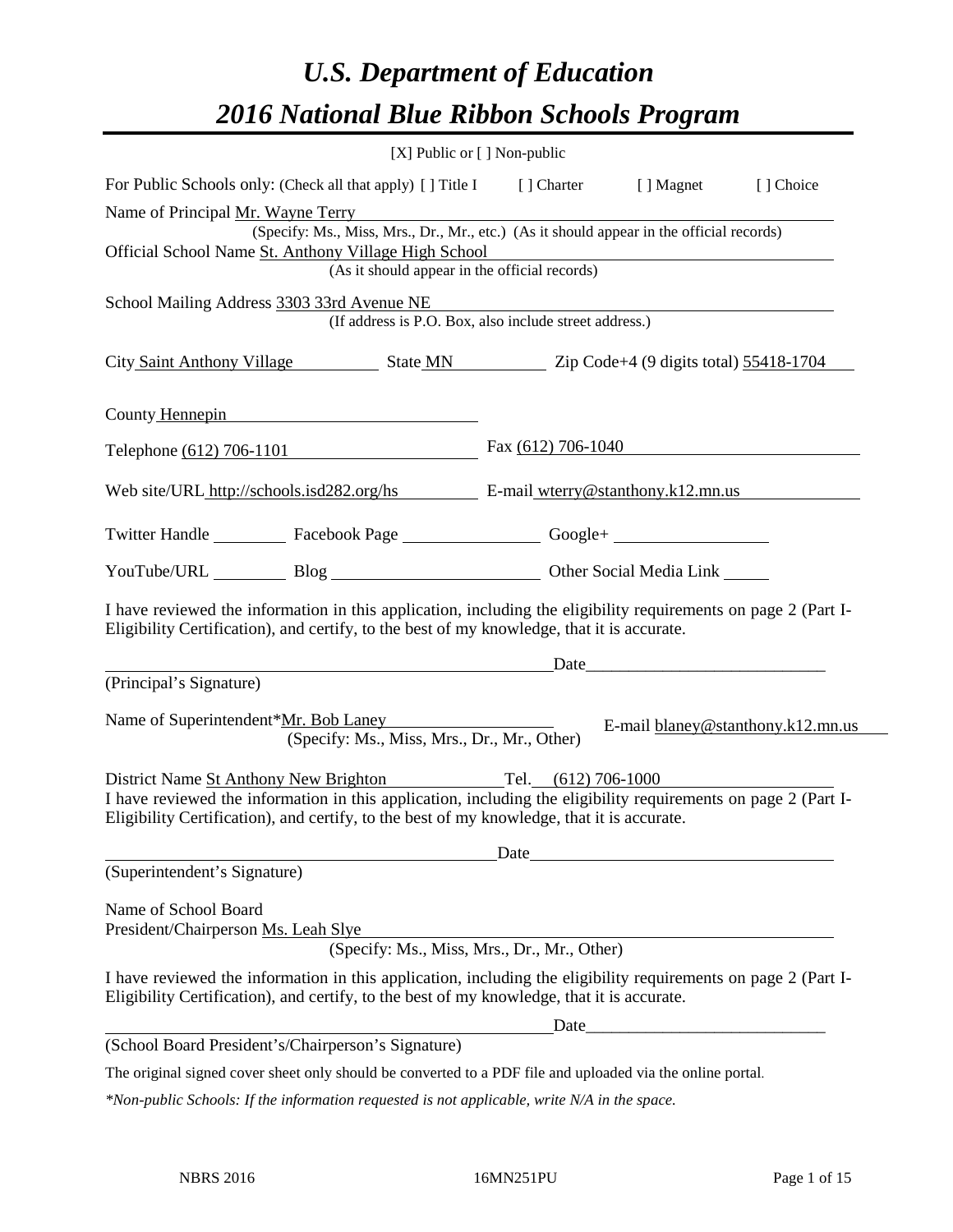# *U.S. Department of Education 2016 National Blue Ribbon Schools Program*

|                                                                                                                                                                                                              | [X] Public or [] Non-public                                                                                            |            |                                   |
|--------------------------------------------------------------------------------------------------------------------------------------------------------------------------------------------------------------|------------------------------------------------------------------------------------------------------------------------|------------|-----------------------------------|
| For Public Schools only: (Check all that apply) [] Title I [] Charter                                                                                                                                        |                                                                                                                        | [ ] Magnet | [] Choice                         |
| Name of Principal Mr. Wayne Terry                                                                                                                                                                            |                                                                                                                        |            |                                   |
| (Specify: Ms., Miss, Mrs., Dr., Mr., etc.) (As it should appear in the official records)<br>Official School Name St. Anthony Village High School                                                             | <u> 1989 - Johann Stoff, deutscher Stoffen und der Stoffen und der Stoffen und der Stoffen und der Stoffen und der</u> |            |                                   |
| (As it should appear in the official records)                                                                                                                                                                |                                                                                                                        |            |                                   |
| School Mailing Address 3303 33rd Avenue NE<br>(If address is P.O. Box, also include street address.)                                                                                                         |                                                                                                                        |            |                                   |
| City Saint Anthony Village State MN Zip Code+4 (9 digits total) 55418-1704                                                                                                                                   |                                                                                                                        |            |                                   |
| County Hennepin                                                                                                                                                                                              |                                                                                                                        |            |                                   |
| Telephone (612) 706-1101 Fax (612) 706-1040                                                                                                                                                                  |                                                                                                                        |            |                                   |
| Web site/URL http://schools.isd282.org/hs E-mail wterry@stanthony.k12.mn.us                                                                                                                                  |                                                                                                                        |            |                                   |
| Twitter Handle ____________ Facebook Page ____________________ Google+ _____________________________                                                                                                         |                                                                                                                        |            |                                   |
| YouTube/URL Blog Blog Discount Other Social Media Link                                                                                                                                                       |                                                                                                                        |            |                                   |
| I have reviewed the information in this application, including the eligibility requirements on page 2 (Part I-<br>Eligibility Certification), and certify, to the best of my knowledge, that it is accurate. |                                                                                                                        |            |                                   |
|                                                                                                                                                                                                              |                                                                                                                        |            |                                   |
| (Principal's Signature)                                                                                                                                                                                      |                                                                                                                        |            |                                   |
| Name of Superintendent* <u>Mr. Bob Laney</u><br>(Specify: Ms., Miss, Mrs., Dr., Mr., Other)                                                                                                                  |                                                                                                                        |            | E-mail blaney@stanthony.k12.mn.us |
| District Name St Anthony New Brighton Tel. (612) 706-1000                                                                                                                                                    |                                                                                                                        |            |                                   |
| I have reviewed the information in this application, including the eligibility requirements on page 2 (Part I-<br>Eligibility Certification), and certify, to the best of my knowledge, that it is accurate. |                                                                                                                        |            |                                   |
|                                                                                                                                                                                                              |                                                                                                                        |            |                                   |
| (Superintendent's Signature)                                                                                                                                                                                 |                                                                                                                        |            |                                   |
| Name of School Board<br>President/Chairperson Ms. Leah Slye<br>(Specify: Ms., Miss, Mrs., Dr., Mr., Other)                                                                                                   |                                                                                                                        |            |                                   |
| I have reviewed the information in this application, including the eligibility requirements on page 2 (Part I-<br>Eligibility Certification), and certify, to the best of my knowledge, that it is accurate. |                                                                                                                        |            |                                   |
|                                                                                                                                                                                                              |                                                                                                                        |            |                                   |
| (School Board President's/Chairperson's Signature)                                                                                                                                                           |                                                                                                                        |            |                                   |
| The original signed cover sheet only should be converted to a PDF file and uploaded via the online portal.                                                                                                   |                                                                                                                        |            |                                   |

*\*Non-public Schools: If the information requested is not applicable, write N/A in the space.*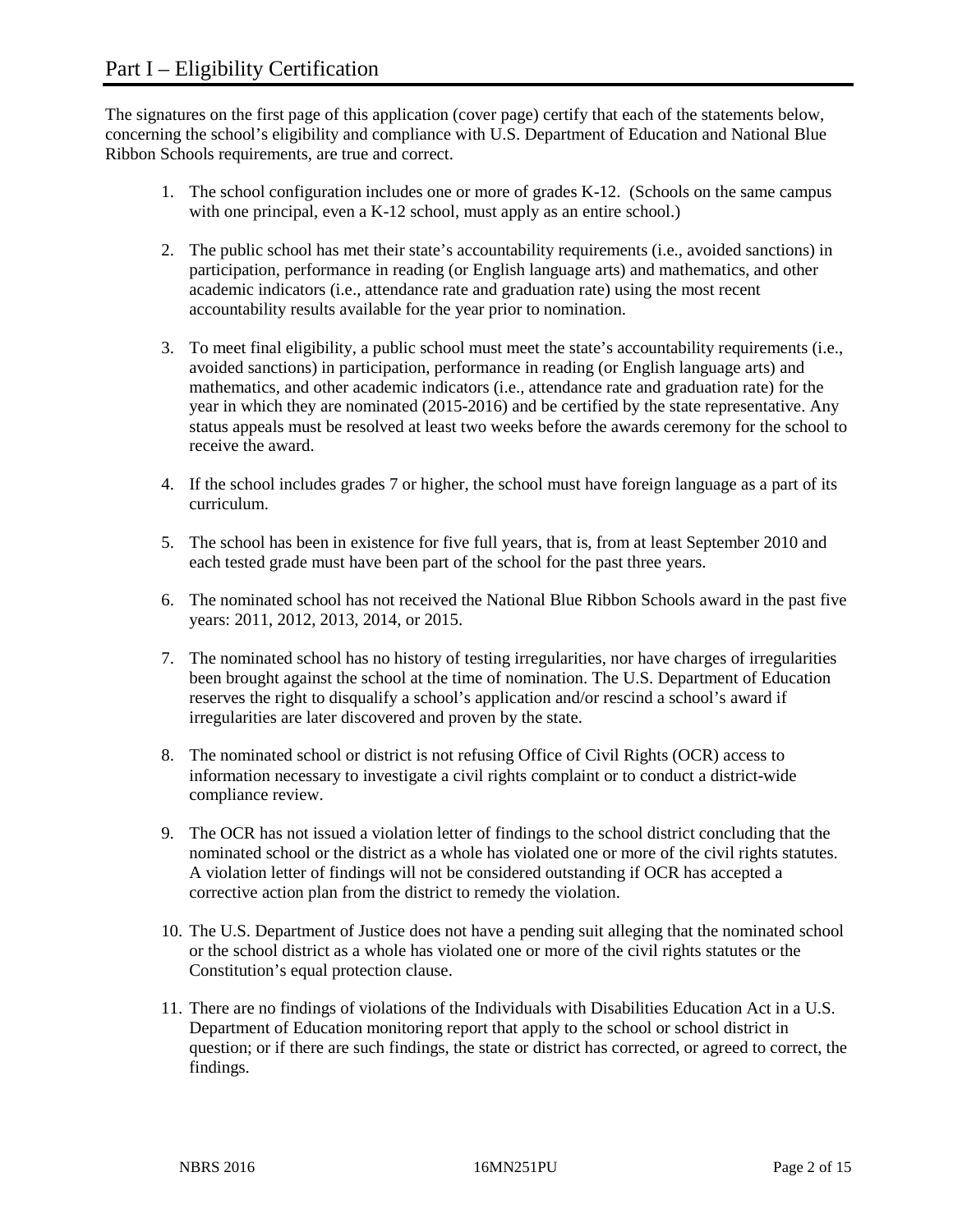The signatures on the first page of this application (cover page) certify that each of the statements below, concerning the school's eligibility and compliance with U.S. Department of Education and National Blue Ribbon Schools requirements, are true and correct.

- 1. The school configuration includes one or more of grades K-12. (Schools on the same campus with one principal, even a K-12 school, must apply as an entire school.)
- 2. The public school has met their state's accountability requirements (i.e., avoided sanctions) in participation, performance in reading (or English language arts) and mathematics, and other academic indicators (i.e., attendance rate and graduation rate) using the most recent accountability results available for the year prior to nomination.
- 3. To meet final eligibility, a public school must meet the state's accountability requirements (i.e., avoided sanctions) in participation, performance in reading (or English language arts) and mathematics, and other academic indicators (i.e., attendance rate and graduation rate) for the year in which they are nominated (2015-2016) and be certified by the state representative. Any status appeals must be resolved at least two weeks before the awards ceremony for the school to receive the award.
- 4. If the school includes grades 7 or higher, the school must have foreign language as a part of its curriculum.
- 5. The school has been in existence for five full years, that is, from at least September 2010 and each tested grade must have been part of the school for the past three years.
- 6. The nominated school has not received the National Blue Ribbon Schools award in the past five years: 2011, 2012, 2013, 2014, or 2015.
- 7. The nominated school has no history of testing irregularities, nor have charges of irregularities been brought against the school at the time of nomination. The U.S. Department of Education reserves the right to disqualify a school's application and/or rescind a school's award if irregularities are later discovered and proven by the state.
- 8. The nominated school or district is not refusing Office of Civil Rights (OCR) access to information necessary to investigate a civil rights complaint or to conduct a district-wide compliance review.
- 9. The OCR has not issued a violation letter of findings to the school district concluding that the nominated school or the district as a whole has violated one or more of the civil rights statutes. A violation letter of findings will not be considered outstanding if OCR has accepted a corrective action plan from the district to remedy the violation.
- 10. The U.S. Department of Justice does not have a pending suit alleging that the nominated school or the school district as a whole has violated one or more of the civil rights statutes or the Constitution's equal protection clause.
- 11. There are no findings of violations of the Individuals with Disabilities Education Act in a U.S. Department of Education monitoring report that apply to the school or school district in question; or if there are such findings, the state or district has corrected, or agreed to correct, the findings.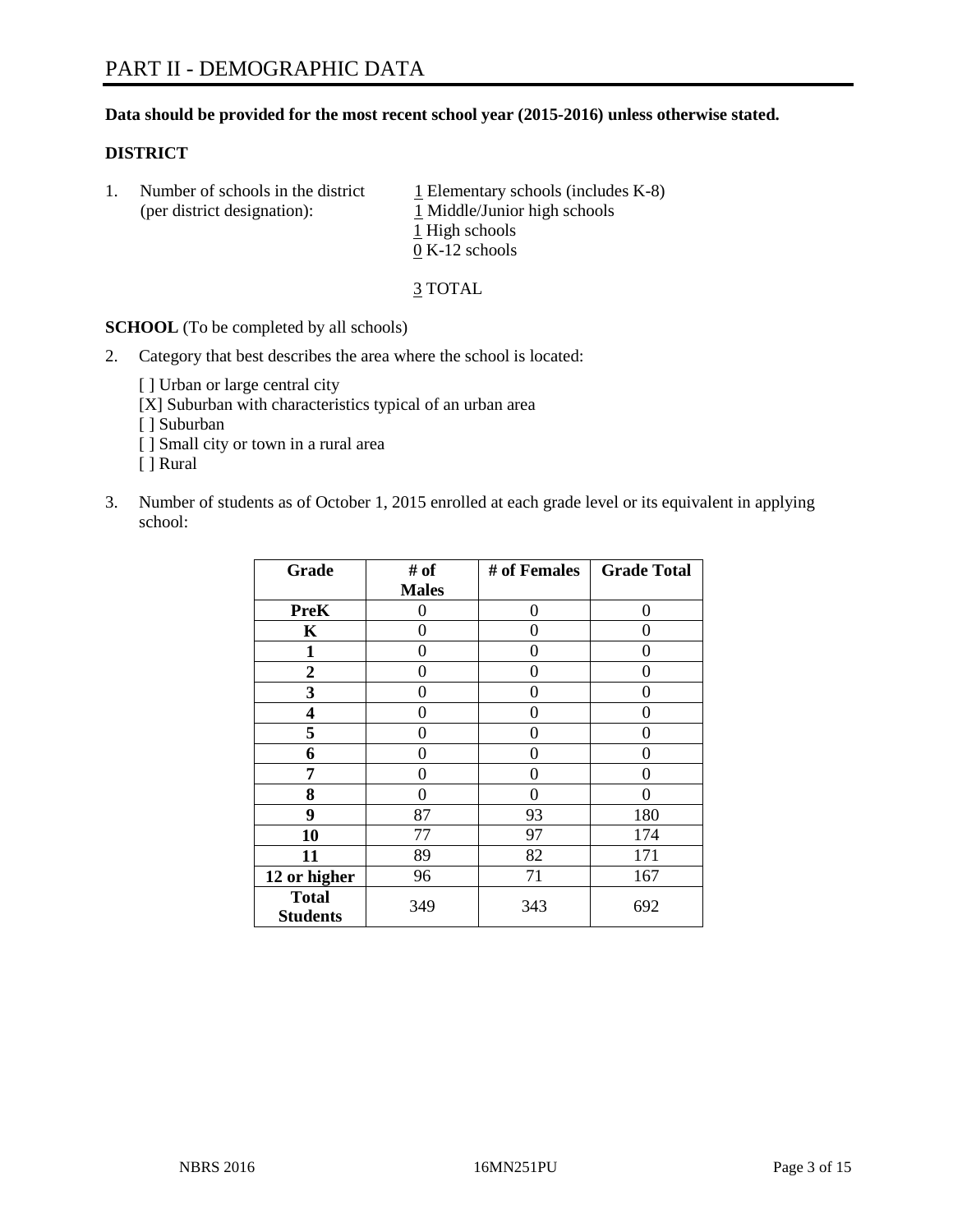#### **Data should be provided for the most recent school year (2015-2016) unless otherwise stated.**

#### **DISTRICT**

1. Number of schools in the district  $1$  Elementary schools (includes K-8) (per district designation): 1 Middle/Junior high schools 1 High schools 0 K-12 schools

3 TOTAL

**SCHOOL** (To be completed by all schools)

2. Category that best describes the area where the school is located:

[] Urban or large central city [X] Suburban with characteristics typical of an urban area [ ] Suburban [ ] Small city or town in a rural area [ ] Rural

3. Number of students as of October 1, 2015 enrolled at each grade level or its equivalent in applying school:

| Grade                           | # of             | # of Females | <b>Grade Total</b> |
|---------------------------------|------------------|--------------|--------------------|
|                                 | <b>Males</b>     |              |                    |
| <b>PreK</b>                     | 0                | 0            | 0                  |
| K                               | 0                | 0            | 0                  |
| $\mathbf{1}$                    | 0                | 0            | 0                  |
| $\overline{2}$                  | 0                | 0            | 0                  |
| 3                               | 0                | 0            | 0                  |
| 4                               | 0                | 0            | 0                  |
| 5                               | 0                | 0            | $\mathbf{\Omega}$  |
| 6                               | 0                | 0            | 0                  |
| 7                               | 0                | 0            | 0                  |
| 8                               | $\boldsymbol{0}$ | 0            | 0                  |
| 9                               | 87               | 93           | 180                |
| 10                              | 77               | 97           | 174                |
| 11                              | 89               | 82           | 171                |
| 12 or higher                    | 96               | 71           | 167                |
| <b>Total</b><br><b>Students</b> | 349              | 343          | 692                |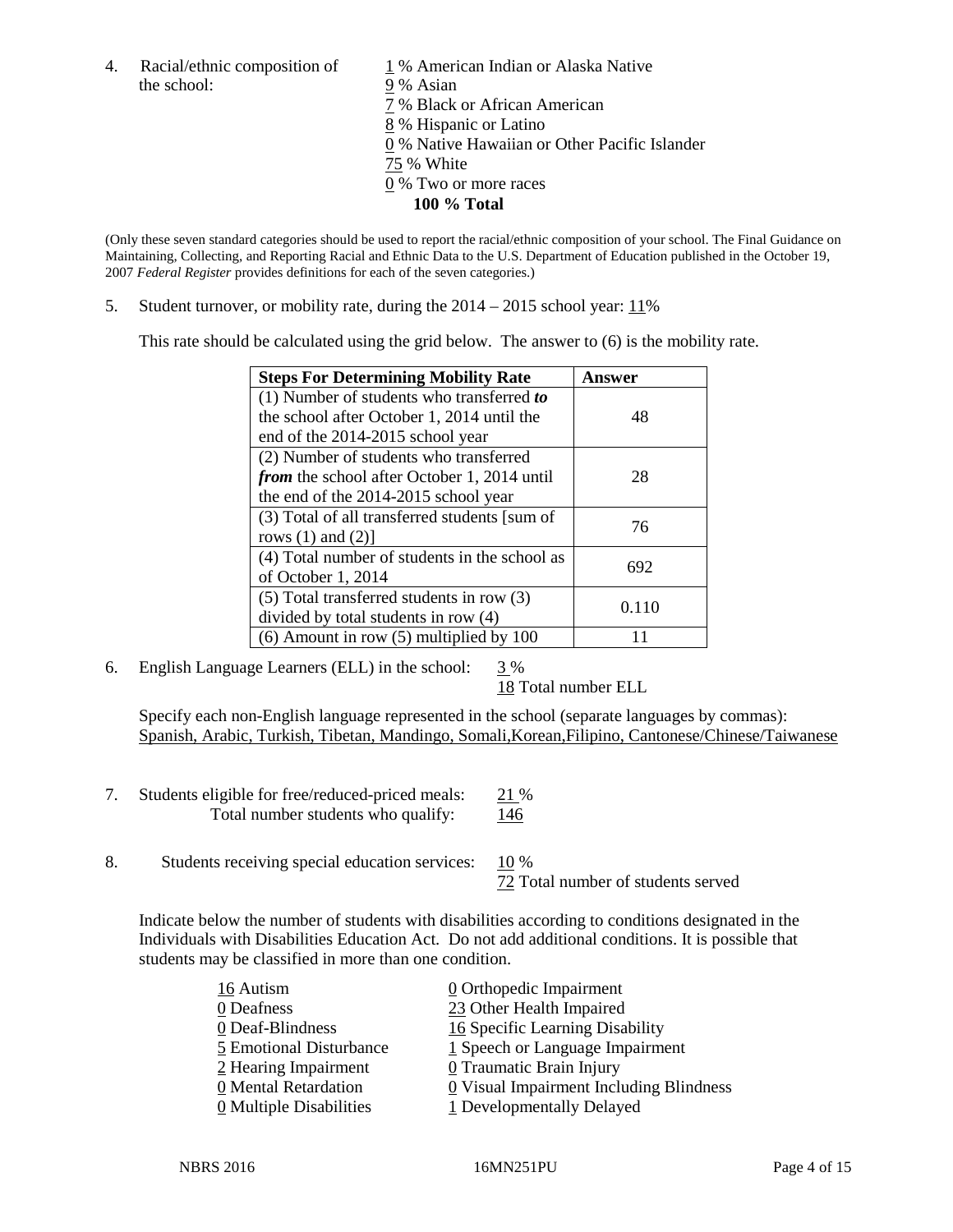4. Racial/ethnic composition of  $1\%$  American Indian or Alaska Native the school: 9 % Asian

 % Black or African American % Hispanic or Latino % Native Hawaiian or Other Pacific Islander 75 % White % Two or more races **100 % Total**

(Only these seven standard categories should be used to report the racial/ethnic composition of your school. The Final Guidance on Maintaining, Collecting, and Reporting Racial and Ethnic Data to the U.S. Department of Education published in the October 19, 2007 *Federal Register* provides definitions for each of the seven categories.)

5. Student turnover, or mobility rate, during the  $2014 - 2015$  school year:  $11\%$ 

This rate should be calculated using the grid below. The answer to (6) is the mobility rate.

| <b>Steps For Determining Mobility Rate</b>         | Answer |  |
|----------------------------------------------------|--------|--|
| (1) Number of students who transferred to          |        |  |
| the school after October 1, 2014 until the         | 48     |  |
| end of the 2014-2015 school year                   |        |  |
| (2) Number of students who transferred             |        |  |
| <i>from</i> the school after October 1, 2014 until | 28     |  |
| the end of the 2014-2015 school year               |        |  |
| (3) Total of all transferred students [sum of      | 76     |  |
| rows $(1)$ and $(2)$ ]                             |        |  |
| (4) Total number of students in the school as      | 692    |  |
| of October 1, 2014                                 |        |  |
| $(5)$ Total transferred students in row $(3)$      | 0.110  |  |
| divided by total students in row (4)               |        |  |
| $(6)$ Amount in row $(5)$ multiplied by 100        |        |  |

6. English Language Learners (ELL) in the school:  $3\%$ 

18 Total number ELL

Specify each non-English language represented in the school (separate languages by commas): Spanish, Arabic, Turkish, Tibetan, Mandingo, Somali,Korean,Filipino, Cantonese/Chinese/Taiwanese

- 7. Students eligible for free/reduced-priced meals: 21 % Total number students who qualify: 146
- 8. Students receiving special education services:  $10\%$ 72 Total number of students served

Indicate below the number of students with disabilities according to conditions designated in the Individuals with Disabilities Education Act. Do not add additional conditions. It is possible that students may be classified in more than one condition.

| 16 Autism                             | 0 Orthopedic Impairment                               |
|---------------------------------------|-------------------------------------------------------|
| 0 Deafness                            | 23 Other Health Impaired                              |
| 0 Deaf-Blindness                      | 16 Specific Learning Disability                       |
| 5 Emotional Disturbance               | $1$ Speech or Language Impairment                     |
| 2 Hearing Impairment                  | 0 Traumatic Brain Injury                              |
| 0 Mental Retardation                  | $\underline{0}$ Visual Impairment Including Blindness |
| $\underline{0}$ Multiple Disabilities | 1 Developmentally Delayed                             |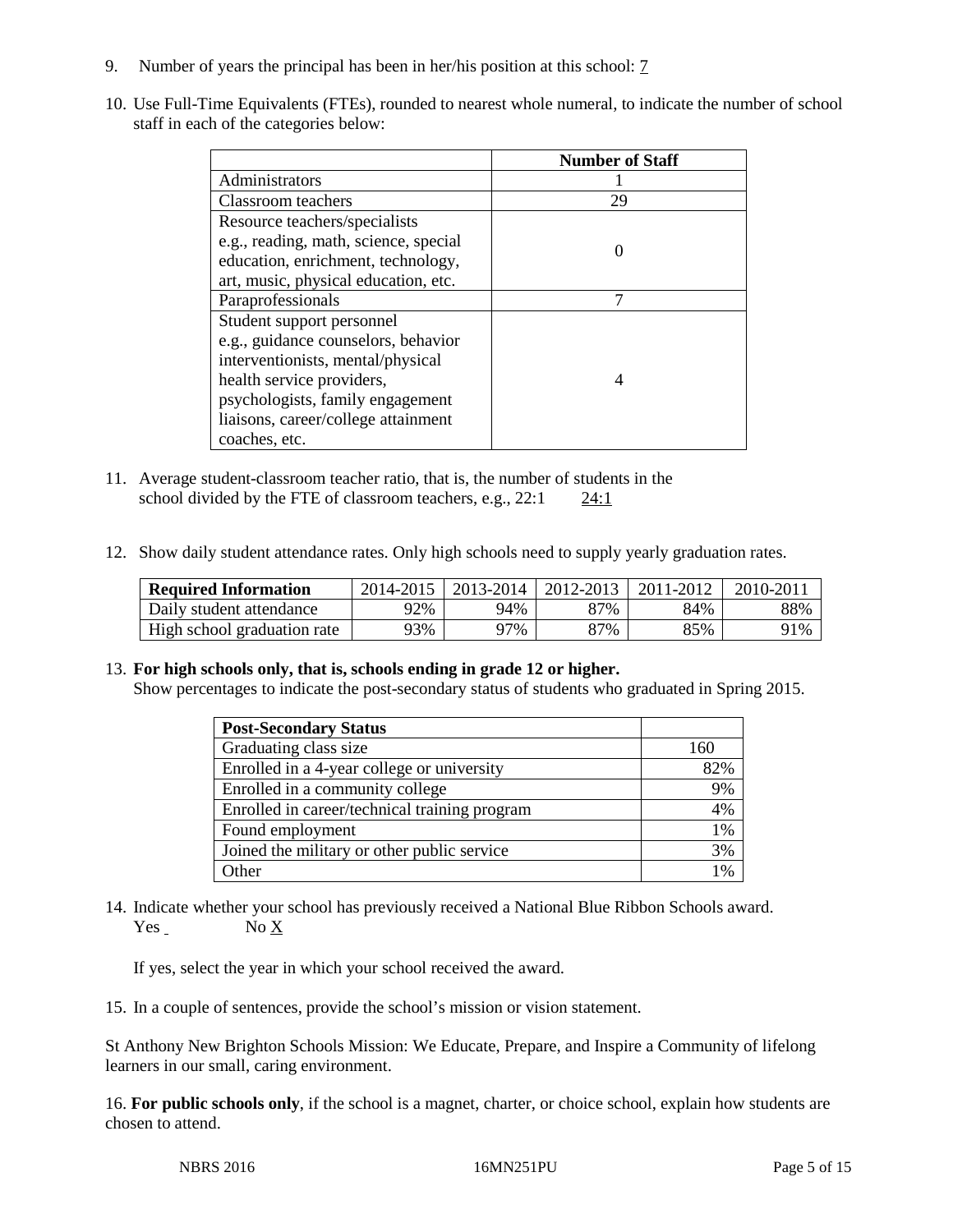- 9. Number of years the principal has been in her/his position at this school: 7
- 10. Use Full-Time Equivalents (FTEs), rounded to nearest whole numeral, to indicate the number of school staff in each of the categories below:

|                                       | <b>Number of Staff</b> |
|---------------------------------------|------------------------|
| Administrators                        |                        |
| Classroom teachers                    | 29                     |
| Resource teachers/specialists         |                        |
| e.g., reading, math, science, special |                        |
| education, enrichment, technology,    |                        |
| art, music, physical education, etc.  |                        |
| Paraprofessionals                     | ⇁                      |
| Student support personnel             |                        |
| e.g., guidance counselors, behavior   |                        |
| interventionists, mental/physical     |                        |
| health service providers,             |                        |
| psychologists, family engagement      |                        |
| liaisons, career/college attainment   |                        |
| coaches, etc.                         |                        |

- 11. Average student-classroom teacher ratio, that is, the number of students in the school divided by the FTE of classroom teachers, e.g., 22:1 24:1
- 12. Show daily student attendance rates. Only high schools need to supply yearly graduation rates.

| <b>Required Information</b> | 2014-2015 | $2013 - 2014$ | $12012 - 2013$ | 2011-2012 | $2010 - 201$ |
|-----------------------------|-----------|---------------|----------------|-----------|--------------|
| Daily student attendance    | 92%       | 94%           | 87%            | 84%       | 88%          |
| High school graduation rate | 93%       | 97%           | 87%            | 85%       | 91%          |

#### 13. **For high schools only, that is, schools ending in grade 12 or higher.**

Show percentages to indicate the post-secondary status of students who graduated in Spring 2015.

| <b>Post-Secondary Status</b>                  |                 |
|-----------------------------------------------|-----------------|
| Graduating class size                         | 160             |
| Enrolled in a 4-year college or university    | 82%             |
| Enrolled in a community college               | 9%              |
| Enrolled in career/technical training program | 4%              |
| Found employment                              | 1%              |
| Joined the military or other public service   | 3%              |
| Other                                         | 10 <sub>6</sub> |

14. Indicate whether your school has previously received a National Blue Ribbon Schools award. Yes No X

If yes, select the year in which your school received the award.

15. In a couple of sentences, provide the school's mission or vision statement.

St Anthony New Brighton Schools Mission: We Educate, Prepare, and Inspire a Community of lifelong learners in our small, caring environment.

16. **For public schools only**, if the school is a magnet, charter, or choice school, explain how students are chosen to attend.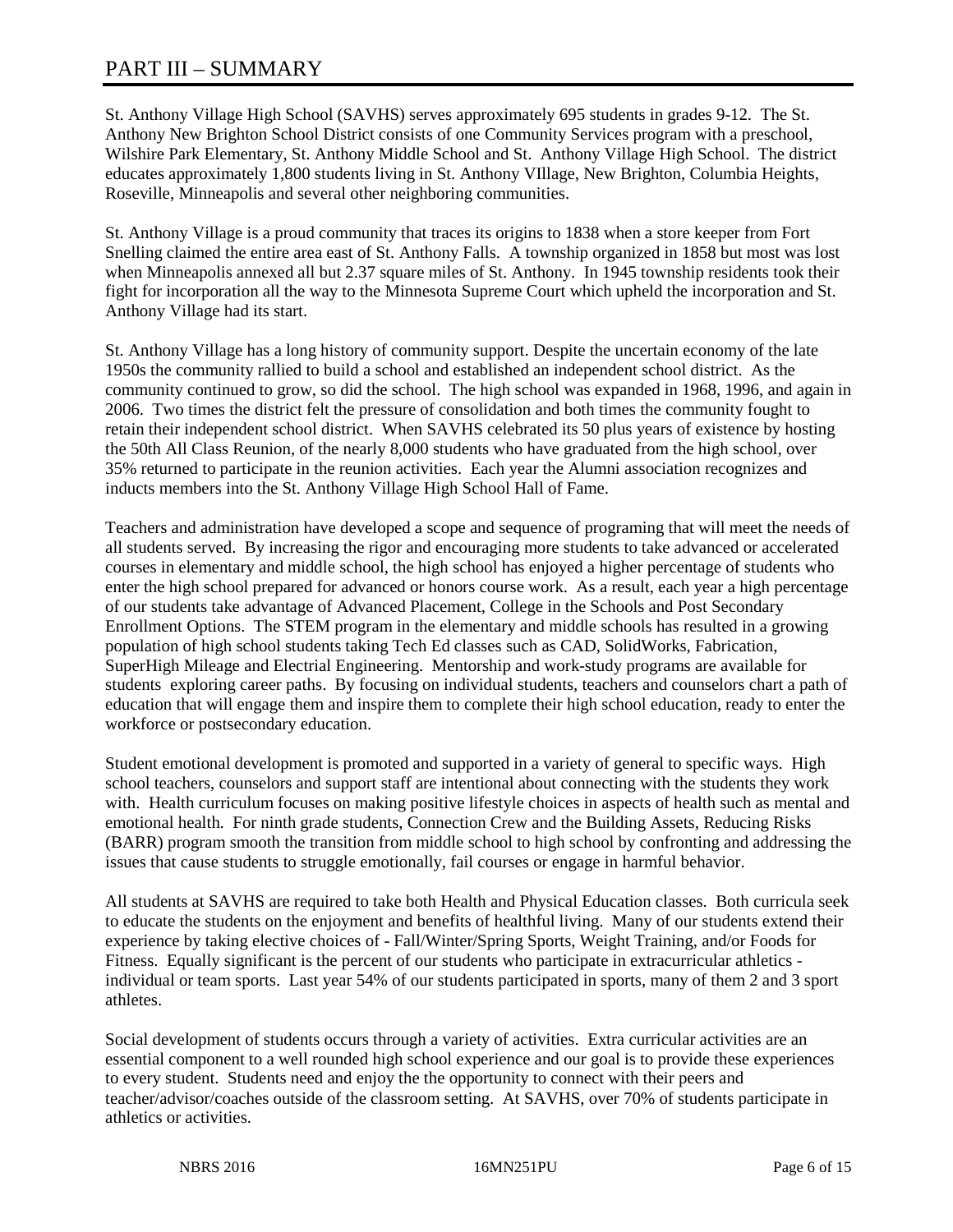# PART III – SUMMARY

St. Anthony Village High School (SAVHS) serves approximately 695 students in grades 9-12. The St. Anthony New Brighton School District consists of one Community Services program with a preschool, Wilshire Park Elementary, St. Anthony Middle School and St. Anthony Village High School. The district educates approximately 1,800 students living in St. Anthony VIllage, New Brighton, Columbia Heights, Roseville, Minneapolis and several other neighboring communities.

St. Anthony Village is a proud community that traces its origins to 1838 when a store keeper from Fort Snelling claimed the entire area east of St. Anthony Falls. A township organized in 1858 but most was lost when Minneapolis annexed all but 2.37 square miles of St. Anthony. In 1945 township residents took their fight for incorporation all the way to the Minnesota Supreme Court which upheld the incorporation and St. Anthony Village had its start.

St. Anthony Village has a long history of community support. Despite the uncertain economy of the late 1950s the community rallied to build a school and established an independent school district. As the community continued to grow, so did the school. The high school was expanded in 1968, 1996, and again in 2006. Two times the district felt the pressure of consolidation and both times the community fought to retain their independent school district. When SAVHS celebrated its 50 plus years of existence by hosting the 50th All Class Reunion, of the nearly 8,000 students who have graduated from the high school, over 35% returned to participate in the reunion activities. Each year the Alumni association recognizes and inducts members into the St. Anthony Village High School Hall of Fame.

Teachers and administration have developed a scope and sequence of programing that will meet the needs of all students served. By increasing the rigor and encouraging more students to take advanced or accelerated courses in elementary and middle school, the high school has enjoyed a higher percentage of students who enter the high school prepared for advanced or honors course work. As a result, each year a high percentage of our students take advantage of Advanced Placement, College in the Schools and Post Secondary Enrollment Options. The STEM program in the elementary and middle schools has resulted in a growing population of high school students taking Tech Ed classes such as CAD, SolidWorks, Fabrication, SuperHigh Mileage and Electrial Engineering. Mentorship and work-study programs are available for students exploring career paths. By focusing on individual students, teachers and counselors chart a path of education that will engage them and inspire them to complete their high school education, ready to enter the workforce or postsecondary education.

Student emotional development is promoted and supported in a variety of general to specific ways. High school teachers, counselors and support staff are intentional about connecting with the students they work with. Health curriculum focuses on making positive lifestyle choices in aspects of health such as mental and emotional health. For ninth grade students, Connection Crew and the Building Assets, Reducing Risks (BARR) program smooth the transition from middle school to high school by confronting and addressing the issues that cause students to struggle emotionally, fail courses or engage in harmful behavior.

All students at SAVHS are required to take both Health and Physical Education classes. Both curricula seek to educate the students on the enjoyment and benefits of healthful living. Many of our students extend their experience by taking elective choices of - Fall/Winter/Spring Sports, Weight Training, and/or Foods for Fitness. Equally significant is the percent of our students who participate in extracurricular athletics individual or team sports. Last year 54% of our students participated in sports, many of them 2 and 3 sport athletes.

Social development of students occurs through a variety of activities. Extra curricular activities are an essential component to a well rounded high school experience and our goal is to provide these experiences to every student. Students need and enjoy the the opportunity to connect with their peers and teacher/advisor/coaches outside of the classroom setting. At SAVHS, over 70% of students participate in athletics or activities.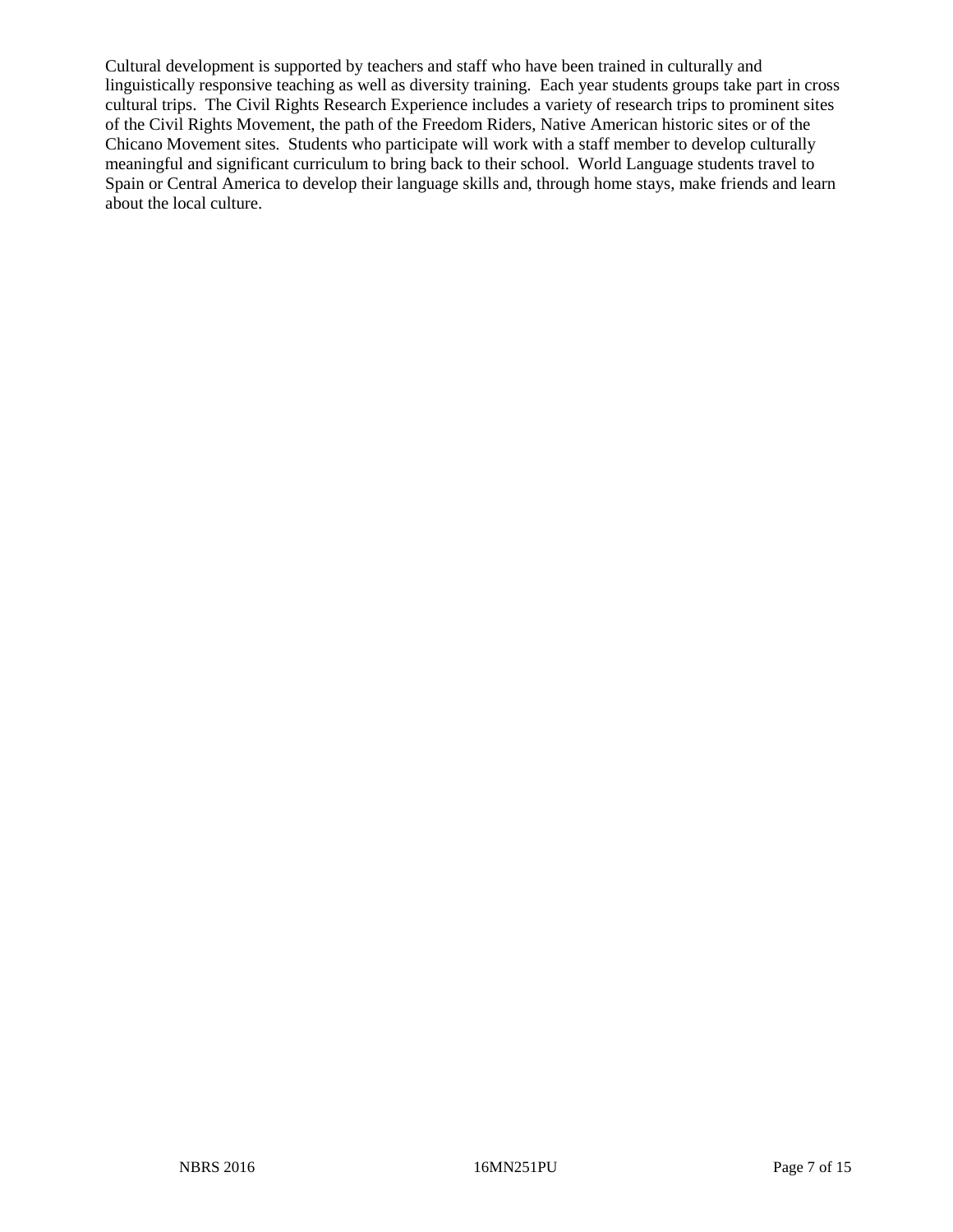Cultural development is supported by teachers and staff who have been trained in culturally and linguistically responsive teaching as well as diversity training. Each year students groups take part in cross cultural trips. The Civil Rights Research Experience includes a variety of research trips to prominent sites of the Civil Rights Movement, the path of the Freedom Riders, Native American historic sites or of the Chicano Movement sites. Students who participate will work with a staff member to develop culturally meaningful and significant curriculum to bring back to their school. World Language students travel to Spain or Central America to develop their language skills and, through home stays, make friends and learn about the local culture.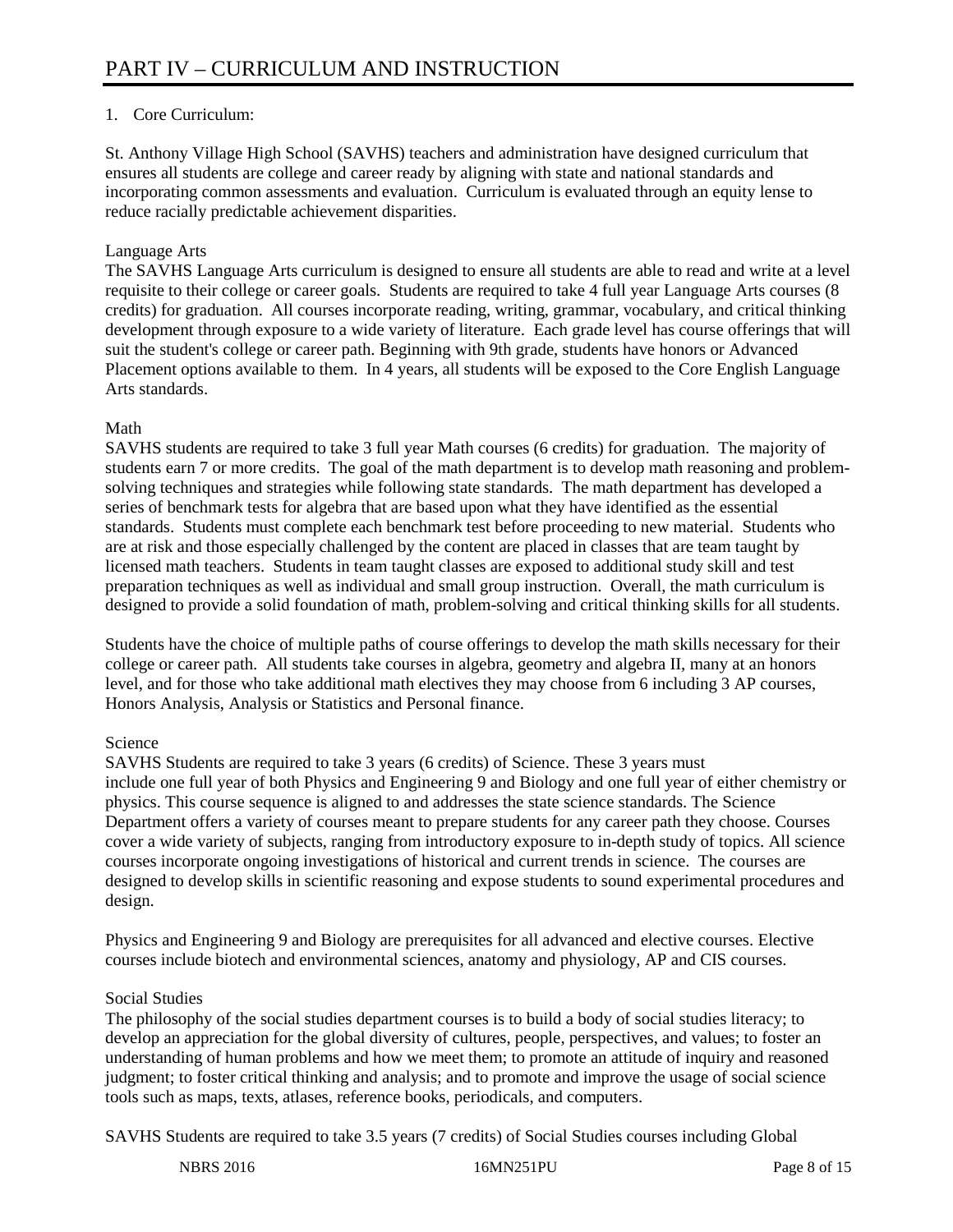# 1. Core Curriculum:

St. Anthony Village High School (SAVHS) teachers and administration have designed curriculum that ensures all students are college and career ready by aligning with state and national standards and incorporating common assessments and evaluation. Curriculum is evaluated through an equity lense to reduce racially predictable achievement disparities.

# Language Arts

The SAVHS Language Arts curriculum is designed to ensure all students are able to read and write at a level requisite to their college or career goals. Students are required to take 4 full year Language Arts courses (8 credits) for graduation. All courses incorporate reading, writing, grammar, vocabulary, and critical thinking development through exposure to a wide variety of literature. Each grade level has course offerings that will suit the student's college or career path. Beginning with 9th grade, students have honors or Advanced Placement options available to them. In 4 years, all students will be exposed to the Core English Language Arts standards.

### Math

SAVHS students are required to take 3 full year Math courses (6 credits) for graduation. The majority of students earn 7 or more credits. The goal of the math department is to develop math reasoning and problemsolving techniques and strategies while following state standards. The math department has developed a series of benchmark tests for algebra that are based upon what they have identified as the essential standards. Students must complete each benchmark test before proceeding to new material. Students who are at risk and those especially challenged by the content are placed in classes that are team taught by licensed math teachers. Students in team taught classes are exposed to additional study skill and test preparation techniques as well as individual and small group instruction. Overall, the math curriculum is designed to provide a solid foundation of math, problem-solving and critical thinking skills for all students.

Students have the choice of multiple paths of course offerings to develop the math skills necessary for their college or career path. All students take courses in algebra, geometry and algebra II, many at an honors level, and for those who take additional math electives they may choose from 6 including 3 AP courses, Honors Analysis, Analysis or Statistics and Personal finance.

# Science

SAVHS Students are required to take 3 years (6 credits) of Science. These 3 years must include one full year of both Physics and Engineering 9 and Biology and one full year of either chemistry or physics. This course sequence is aligned to and addresses the state science standards. The Science Department offers a variety of courses meant to prepare students for any career path they choose. Courses cover a wide variety of subjects, ranging from introductory exposure to in-depth study of topics. All science courses incorporate ongoing investigations of historical and current trends in science. The courses are designed to develop skills in scientific reasoning and expose students to sound experimental procedures and design.

Physics and Engineering 9 and Biology are prerequisites for all advanced and elective courses. Elective courses include biotech and environmental sciences, anatomy and physiology, AP and CIS courses.

# Social Studies

The philosophy of the social studies department courses is to build a body of social studies literacy; to develop an appreciation for the global diversity of cultures, people, perspectives, and values; to foster an understanding of human problems and how we meet them; to promote an attitude of inquiry and reasoned judgment; to foster critical thinking and analysis; and to promote and improve the usage of social science tools such as maps, texts, atlases, reference books, periodicals, and computers.

SAVHS Students are required to take 3.5 years (7 credits) of Social Studies courses including Global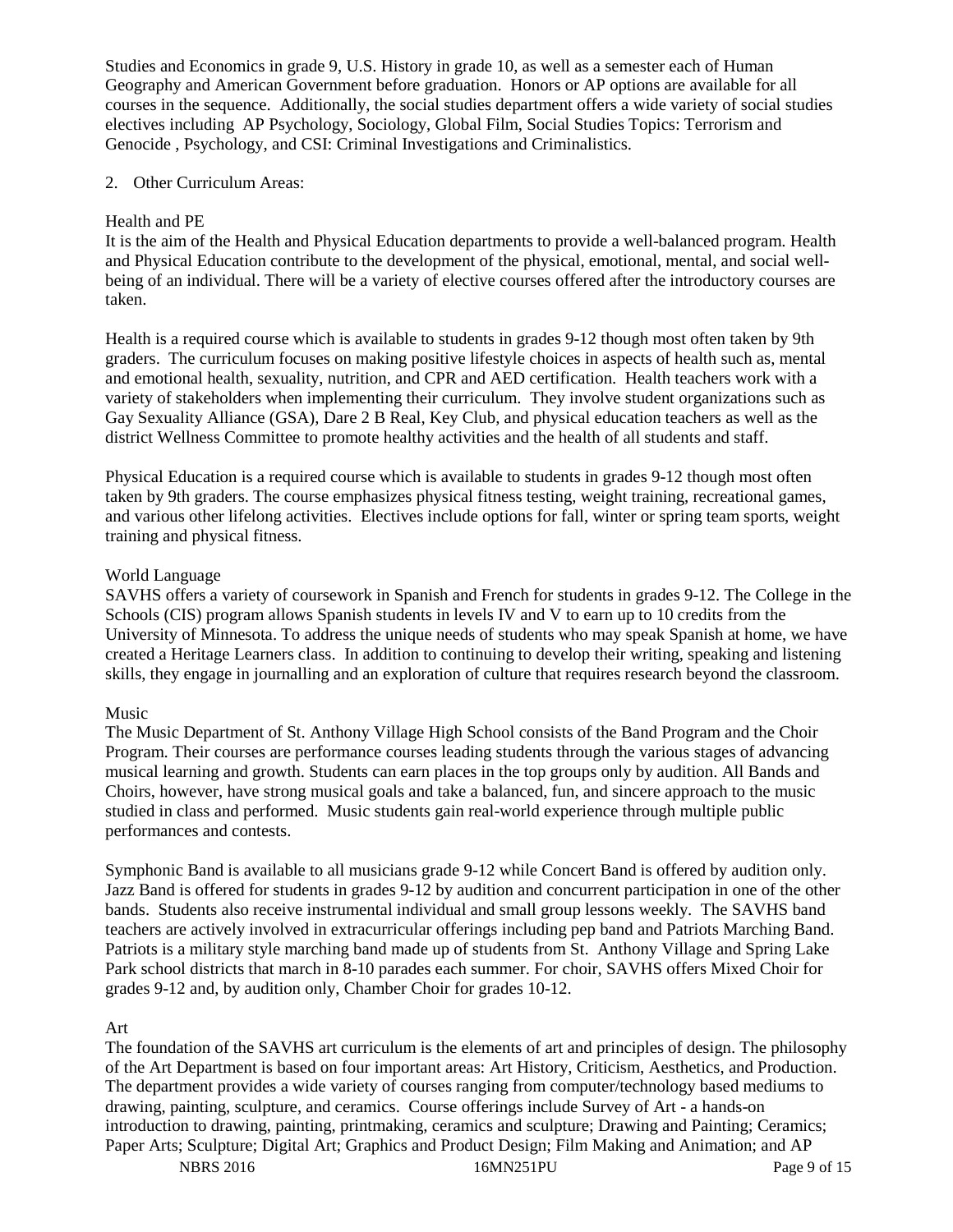Studies and Economics in grade 9, U.S. History in grade 10, as well as a semester each of Human Geography and American Government before graduation. Honors or AP options are available for all courses in the sequence. Additionally, the social studies department offers a wide variety of social studies electives including AP Psychology, Sociology, Global Film, Social Studies Topics: Terrorism and Genocide , Psychology, and CSI: Criminal Investigations and Criminalistics.

### 2. Other Curriculum Areas:

### Health and PE

It is the aim of the Health and Physical Education departments to provide a well-balanced program. Health and Physical Education contribute to the development of the physical, emotional, mental, and social wellbeing of an individual. There will be a variety of elective courses offered after the introductory courses are taken.

Health is a required course which is available to students in grades 9-12 though most often taken by 9th graders. The curriculum focuses on making positive lifestyle choices in aspects of health such as, mental and emotional health, sexuality, nutrition, and CPR and AED certification. Health teachers work with a variety of stakeholders when implementing their curriculum. They involve student organizations such as Gay Sexuality Alliance (GSA), Dare 2 B Real, Key Club, and physical education teachers as well as the district Wellness Committee to promote healthy activities and the health of all students and staff.

Physical Education is a required course which is available to students in grades 9-12 though most often taken by 9th graders. The course emphasizes physical fitness testing, weight training, recreational games, and various other lifelong activities. Electives include options for fall, winter or spring team sports, weight training and physical fitness.

### World Language

SAVHS offers a variety of coursework in Spanish and French for students in grades 9-12. The College in the Schools (CIS) program allows Spanish students in levels IV and V to earn up to 10 credits from the University of Minnesota. To address the unique needs of students who may speak Spanish at home, we have created a Heritage Learners class. In addition to continuing to develop their writing, speaking and listening skills, they engage in journalling and an exploration of culture that requires research beyond the classroom.

#### Music

The Music Department of St. Anthony Village High School consists of the Band Program and the Choir Program. Their courses are performance courses leading students through the various stages of advancing musical learning and growth. Students can earn places in the top groups only by audition. All Bands and Choirs, however, have strong musical goals and take a balanced, fun, and sincere approach to the music studied in class and performed. Music students gain real-world experience through multiple public performances and contests.

Symphonic Band is available to all musicians grade 9-12 while Concert Band is offered by audition only. Jazz Band is offered for students in grades 9-12 by audition and concurrent participation in one of the other bands. Students also receive instrumental individual and small group lessons weekly. The SAVHS band teachers are actively involved in extracurricular offerings including pep band and Patriots Marching Band. Patriots is a military style marching band made up of students from St. Anthony Village and Spring Lake Park school districts that march in 8-10 parades each summer. For choir, SAVHS offers Mixed Choir for grades 9-12 and, by audition only, Chamber Choir for grades 10-12.

#### Art

The foundation of the SAVHS art curriculum is the elements of art and principles of design. The philosophy of the Art Department is based on four important areas: Art History, Criticism, Aesthetics, and Production. The department provides a wide variety of courses ranging from computer/technology based mediums to drawing, painting, sculpture, and ceramics. Course offerings include Survey of Art - a hands-on introduction to drawing, painting, printmaking, ceramics and sculpture; Drawing and Painting; Ceramics; Paper Arts; Sculpture; Digital Art; Graphics and Product Design; Film Making and Animation; and AP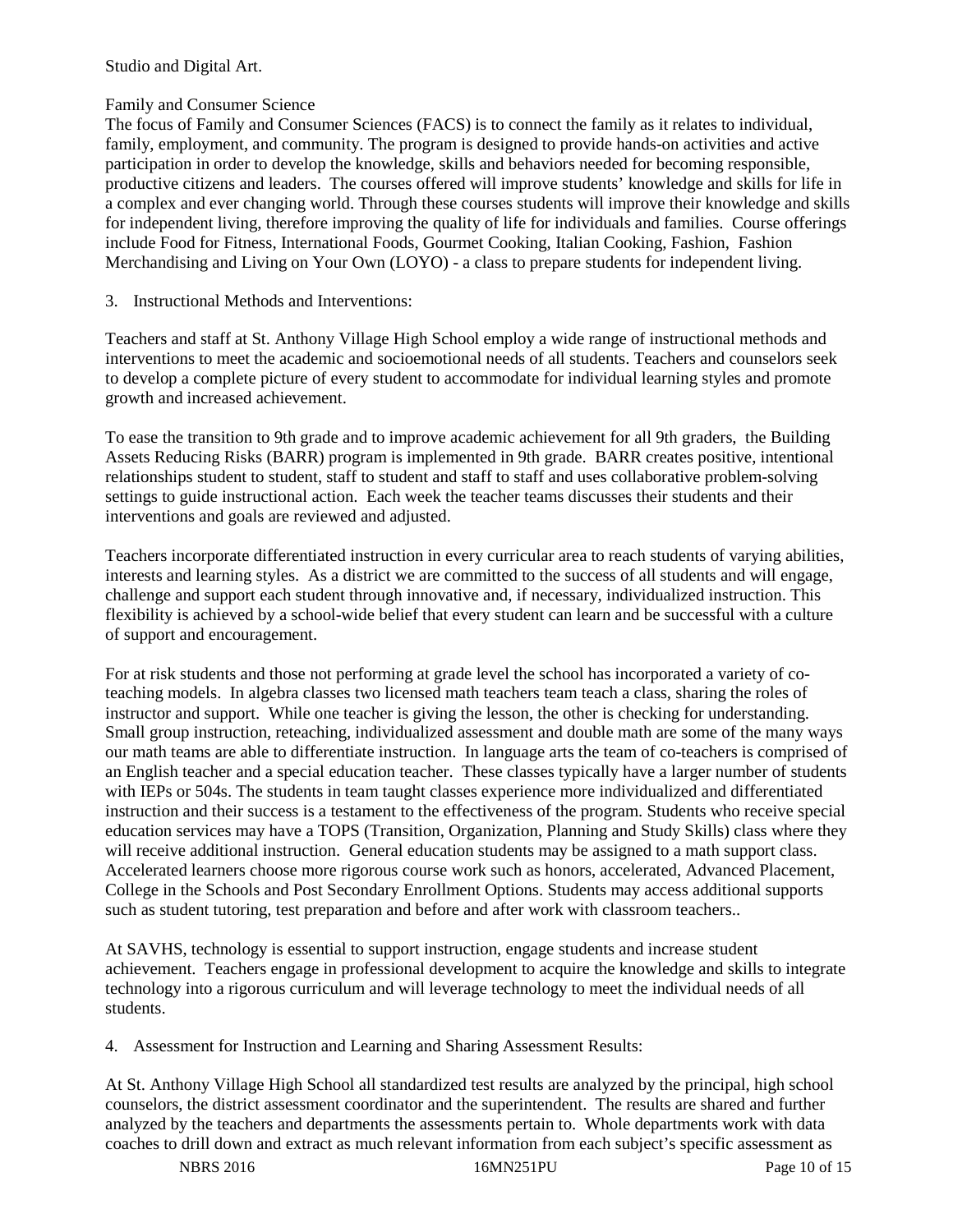Studio and Digital Art.

### Family and Consumer Science

The focus of Family and Consumer Sciences (FACS) is to connect the family as it relates to individual, family, employment, and community. The program is designed to provide hands-on activities and active participation in order to develop the knowledge, skills and behaviors needed for becoming responsible, productive citizens and leaders. The courses offered will improve students' knowledge and skills for life in a complex and ever changing world. Through these courses students will improve their knowledge and skills for independent living, therefore improving the quality of life for individuals and families. Course offerings include Food for Fitness, International Foods, Gourmet Cooking, Italian Cooking, Fashion, Fashion Merchandising and Living on Your Own (LOYO) - a class to prepare students for independent living.

3. Instructional Methods and Interventions:

Teachers and staff at St. Anthony Village High School employ a wide range of instructional methods and interventions to meet the academic and socioemotional needs of all students. Teachers and counselors seek to develop a complete picture of every student to accommodate for individual learning styles and promote growth and increased achievement.

To ease the transition to 9th grade and to improve academic achievement for all 9th graders, the Building Assets Reducing Risks (BARR) program is implemented in 9th grade. BARR creates positive, intentional relationships student to student, staff to student and staff to staff and uses collaborative problem-solving settings to guide instructional action. Each week the teacher teams discusses their students and their interventions and goals are reviewed and adjusted.

Teachers incorporate differentiated instruction in every curricular area to reach students of varying abilities, interests and learning styles. As a district we are committed to the success of all students and will engage, challenge and support each student through innovative and, if necessary, individualized instruction. This flexibility is achieved by a school-wide belief that every student can learn and be successful with a culture of support and encouragement.

For at risk students and those not performing at grade level the school has incorporated a variety of coteaching models. In algebra classes two licensed math teachers team teach a class, sharing the roles of instructor and support. While one teacher is giving the lesson, the other is checking for understanding. Small group instruction, reteaching, individualized assessment and double math are some of the many ways our math teams are able to differentiate instruction. In language arts the team of co-teachers is comprised of an English teacher and a special education teacher. These classes typically have a larger number of students with IEPs or 504s. The students in team taught classes experience more individualized and differentiated instruction and their success is a testament to the effectiveness of the program. Students who receive special education services may have a TOPS (Transition, Organization, Planning and Study Skills) class where they will receive additional instruction. General education students may be assigned to a math support class. Accelerated learners choose more rigorous course work such as honors, accelerated, Advanced Placement, College in the Schools and Post Secondary Enrollment Options. Students may access additional supports such as student tutoring, test preparation and before and after work with classroom teachers..

At SAVHS, technology is essential to support instruction, engage students and increase student achievement. Teachers engage in professional development to acquire the knowledge and skills to integrate technology into a rigorous curriculum and will leverage technology to meet the individual needs of all students.

4. Assessment for Instruction and Learning and Sharing Assessment Results:

At St. Anthony Village High School all standardized test results are analyzed by the principal, high school counselors, the district assessment coordinator and the superintendent. The results are shared and further analyzed by the teachers and departments the assessments pertain to. Whole departments work with data coaches to drill down and extract as much relevant information from each subject's specific assessment as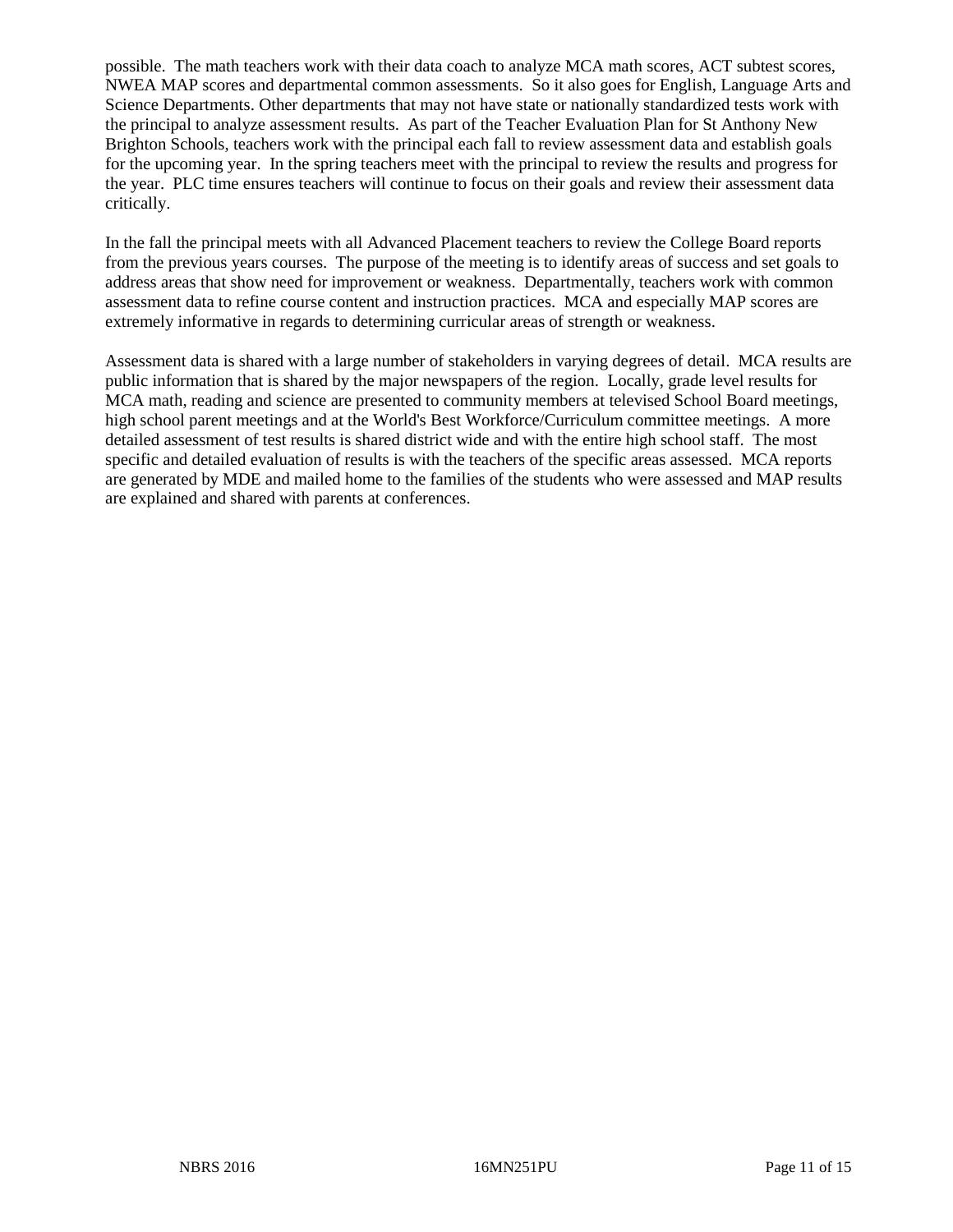possible. The math teachers work with their data coach to analyze MCA math scores, ACT subtest scores, NWEA MAP scores and departmental common assessments. So it also goes for English, Language Arts and Science Departments. Other departments that may not have state or nationally standardized tests work with the principal to analyze assessment results. As part of the Teacher Evaluation Plan for St Anthony New Brighton Schools, teachers work with the principal each fall to review assessment data and establish goals for the upcoming year. In the spring teachers meet with the principal to review the results and progress for the year. PLC time ensures teachers will continue to focus on their goals and review their assessment data critically.

In the fall the principal meets with all Advanced Placement teachers to review the College Board reports from the previous years courses. The purpose of the meeting is to identify areas of success and set goals to address areas that show need for improvement or weakness. Departmentally, teachers work with common assessment data to refine course content and instruction practices. MCA and especially MAP scores are extremely informative in regards to determining curricular areas of strength or weakness.

Assessment data is shared with a large number of stakeholders in varying degrees of detail. MCA results are public information that is shared by the major newspapers of the region. Locally, grade level results for MCA math, reading and science are presented to community members at televised School Board meetings, high school parent meetings and at the World's Best Workforce/Curriculum committee meetings. A more detailed assessment of test results is shared district wide and with the entire high school staff. The most specific and detailed evaluation of results is with the teachers of the specific areas assessed. MCA reports are generated by MDE and mailed home to the families of the students who were assessed and MAP results are explained and shared with parents at conferences.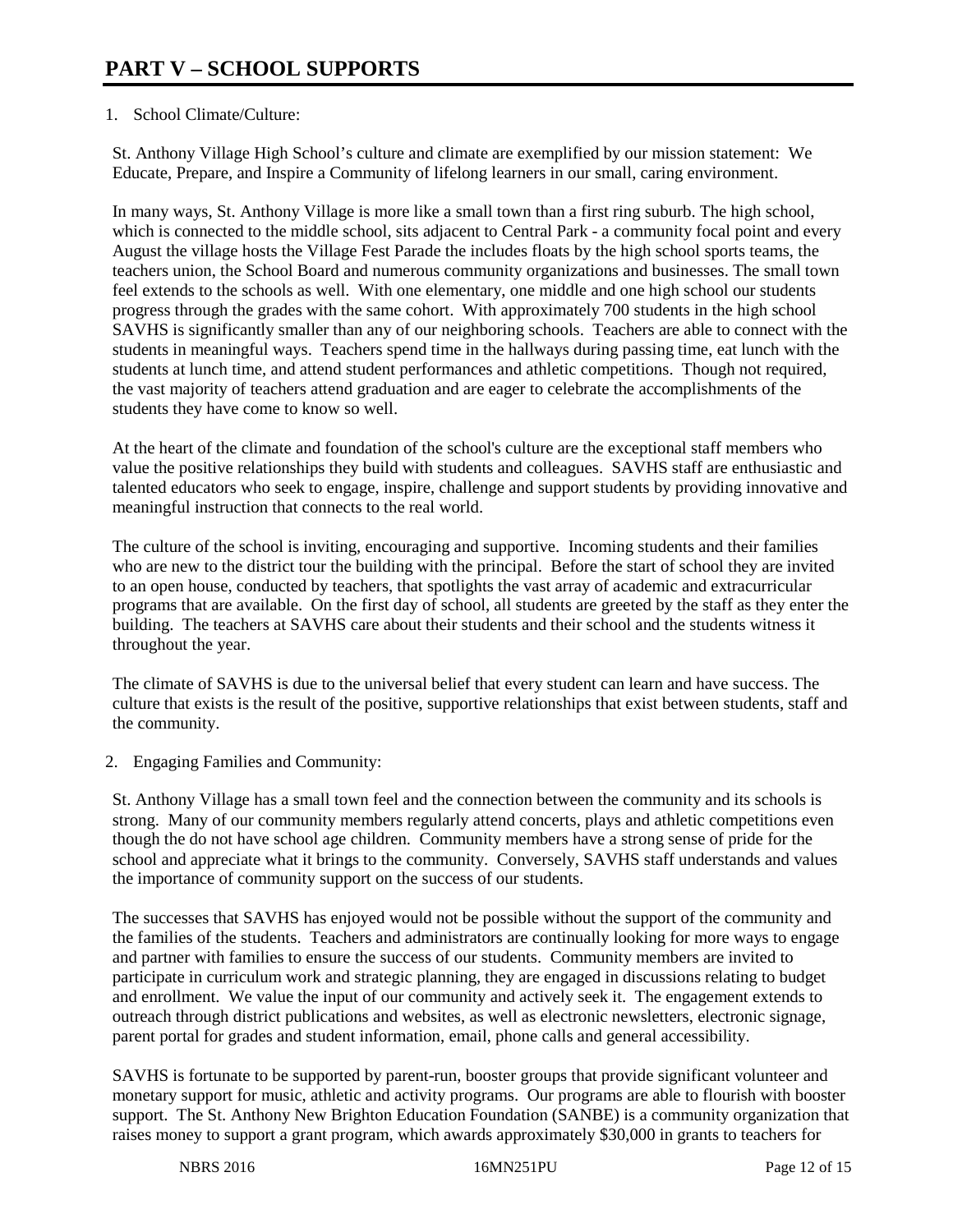# 1. School Climate/Culture:

St. Anthony Village High School's culture and climate are exemplified by our mission statement: We Educate, Prepare, and Inspire a Community of lifelong learners in our small, caring environment.

In many ways, St. Anthony Village is more like a small town than a first ring suburb. The high school, which is connected to the middle school, sits adjacent to Central Park - a community focal point and every August the village hosts the Village Fest Parade the includes floats by the high school sports teams, the teachers union, the School Board and numerous community organizations and businesses. The small town feel extends to the schools as well. With one elementary, one middle and one high school our students progress through the grades with the same cohort. With approximately 700 students in the high school SAVHS is significantly smaller than any of our neighboring schools. Teachers are able to connect with the students in meaningful ways. Teachers spend time in the hallways during passing time, eat lunch with the students at lunch time, and attend student performances and athletic competitions. Though not required, the vast majority of teachers attend graduation and are eager to celebrate the accomplishments of the students they have come to know so well.

At the heart of the climate and foundation of the school's culture are the exceptional staff members who value the positive relationships they build with students and colleagues. SAVHS staff are enthusiastic and talented educators who seek to engage, inspire, challenge and support students by providing innovative and meaningful instruction that connects to the real world.

The culture of the school is inviting, encouraging and supportive. Incoming students and their families who are new to the district tour the building with the principal. Before the start of school they are invited to an open house, conducted by teachers, that spotlights the vast array of academic and extracurricular programs that are available. On the first day of school, all students are greeted by the staff as they enter the building. The teachers at SAVHS care about their students and their school and the students witness it throughout the year.

The climate of SAVHS is due to the universal belief that every student can learn and have success. The culture that exists is the result of the positive, supportive relationships that exist between students, staff and the community.

2. Engaging Families and Community:

St. Anthony Village has a small town feel and the connection between the community and its schools is strong. Many of our community members regularly attend concerts, plays and athletic competitions even though the do not have school age children. Community members have a strong sense of pride for the school and appreciate what it brings to the community. Conversely, SAVHS staff understands and values the importance of community support on the success of our students.

The successes that SAVHS has enjoyed would not be possible without the support of the community and the families of the students. Teachers and administrators are continually looking for more ways to engage and partner with families to ensure the success of our students. Community members are invited to participate in curriculum work and strategic planning, they are engaged in discussions relating to budget and enrollment. We value the input of our community and actively seek it. The engagement extends to outreach through district publications and websites, as well as electronic newsletters, electronic signage, parent portal for grades and student information, email, phone calls and general accessibility.

SAVHS is fortunate to be supported by parent-run, booster groups that provide significant volunteer and monetary support for music, athletic and activity programs. Our programs are able to flourish with booster support. The St. Anthony New Brighton Education Foundation (SANBE) is a community organization that raises money to support a grant program, which awards approximately \$30,000 in grants to teachers for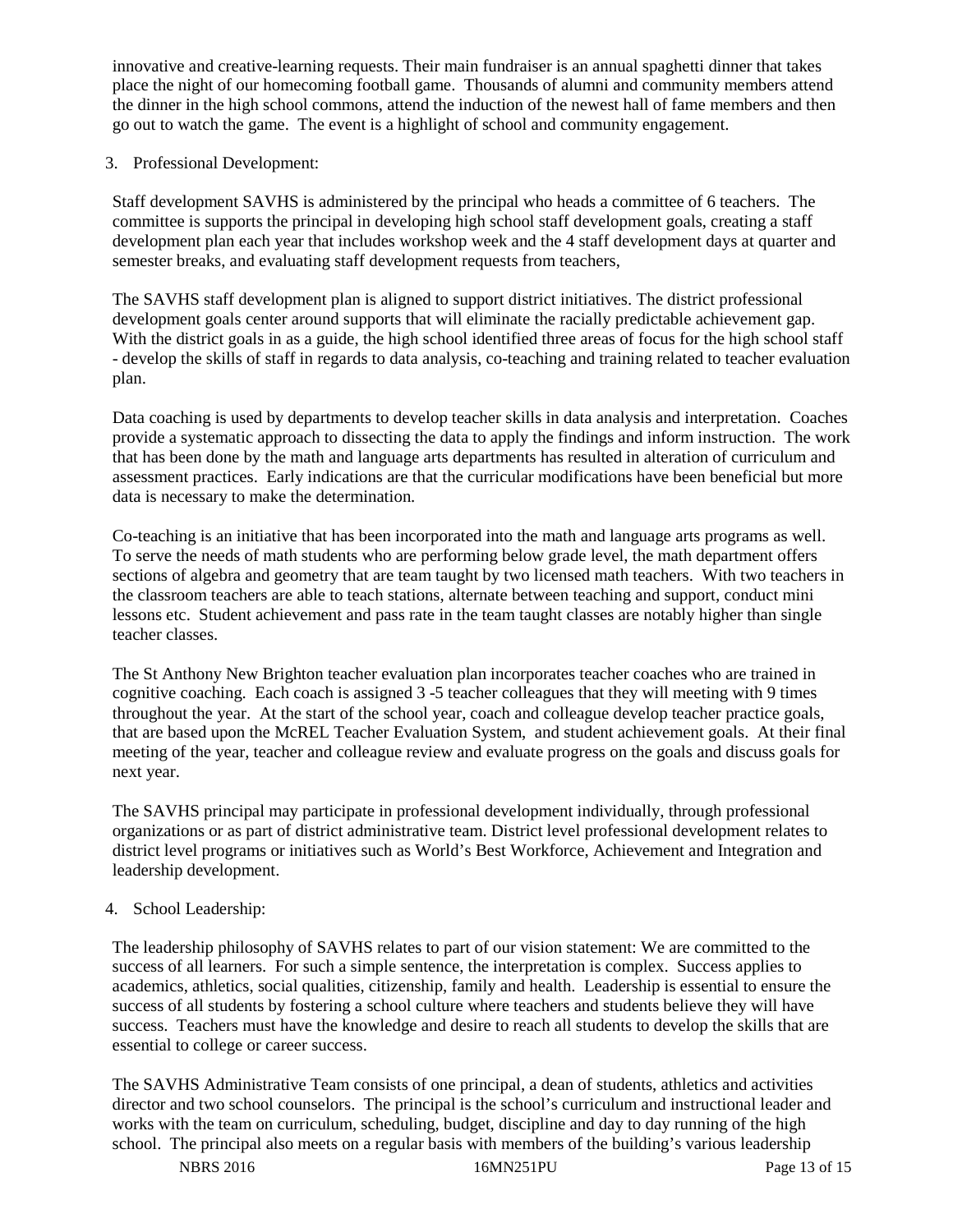innovative and creative-learning requests. Their main fundraiser is an annual spaghetti dinner that takes place the night of our homecoming football game. Thousands of alumni and community members attend the dinner in the high school commons, attend the induction of the newest hall of fame members and then go out to watch the game. The event is a highlight of school and community engagement.

### 3. Professional Development:

Staff development SAVHS is administered by the principal who heads a committee of 6 teachers. The committee is supports the principal in developing high school staff development goals, creating a staff development plan each year that includes workshop week and the 4 staff development days at quarter and semester breaks, and evaluating staff development requests from teachers,

The SAVHS staff development plan is aligned to support district initiatives. The district professional development goals center around supports that will eliminate the racially predictable achievement gap. With the district goals in as a guide, the high school identified three areas of focus for the high school staff - develop the skills of staff in regards to data analysis, co-teaching and training related to teacher evaluation plan.

Data coaching is used by departments to develop teacher skills in data analysis and interpretation. Coaches provide a systematic approach to dissecting the data to apply the findings and inform instruction. The work that has been done by the math and language arts departments has resulted in alteration of curriculum and assessment practices. Early indications are that the curricular modifications have been beneficial but more data is necessary to make the determination.

Co-teaching is an initiative that has been incorporated into the math and language arts programs as well. To serve the needs of math students who are performing below grade level, the math department offers sections of algebra and geometry that are team taught by two licensed math teachers. With two teachers in the classroom teachers are able to teach stations, alternate between teaching and support, conduct mini lessons etc. Student achievement and pass rate in the team taught classes are notably higher than single teacher classes.

The St Anthony New Brighton teacher evaluation plan incorporates teacher coaches who are trained in cognitive coaching. Each coach is assigned 3 -5 teacher colleagues that they will meeting with 9 times throughout the year. At the start of the school year, coach and colleague develop teacher practice goals, that are based upon the McREL Teacher Evaluation System, and student achievement goals. At their final meeting of the year, teacher and colleague review and evaluate progress on the goals and discuss goals for next year.

The SAVHS principal may participate in professional development individually, through professional organizations or as part of district administrative team. District level professional development relates to district level programs or initiatives such as World's Best Workforce, Achievement and Integration and leadership development.

#### 4. School Leadership:

The leadership philosophy of SAVHS relates to part of our vision statement: We are committed to the success of all learners. For such a simple sentence, the interpretation is complex. Success applies to academics, athletics, social qualities, citizenship, family and health. Leadership is essential to ensure the success of all students by fostering a school culture where teachers and students believe they will have success. Teachers must have the knowledge and desire to reach all students to develop the skills that are essential to college or career success.

The SAVHS Administrative Team consists of one principal, a dean of students, athletics and activities director and two school counselors. The principal is the school's curriculum and instructional leader and works with the team on curriculum, scheduling, budget, discipline and day to day running of the high school. The principal also meets on a regular basis with members of the building's various leadership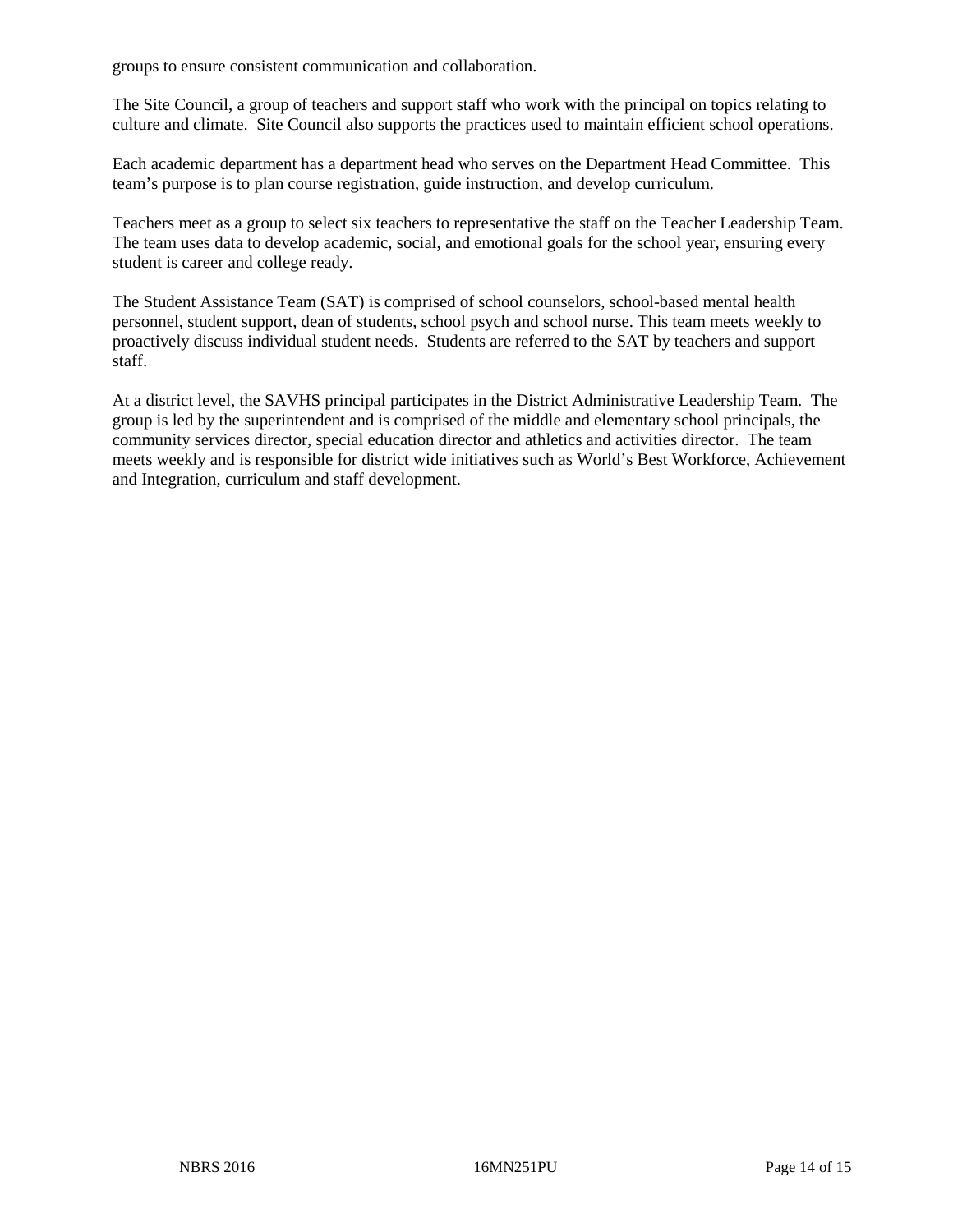groups to ensure consistent communication and collaboration.

The Site Council, a group of teachers and support staff who work with the principal on topics relating to culture and climate. Site Council also supports the practices used to maintain efficient school operations.

Each academic department has a department head who serves on the Department Head Committee. This team's purpose is to plan course registration, guide instruction, and develop curriculum.

Teachers meet as a group to select six teachers to representative the staff on the Teacher Leadership Team. The team uses data to develop academic, social, and emotional goals for the school year, ensuring every student is career and college ready.

The Student Assistance Team (SAT) is comprised of school counselors, school-based mental health personnel, student support, dean of students, school psych and school nurse. This team meets weekly to proactively discuss individual student needs. Students are referred to the SAT by teachers and support staff.

At a district level, the SAVHS principal participates in the District Administrative Leadership Team. The group is led by the superintendent and is comprised of the middle and elementary school principals, the community services director, special education director and athletics and activities director. The team meets weekly and is responsible for district wide initiatives such as World's Best Workforce, Achievement and Integration, curriculum and staff development.